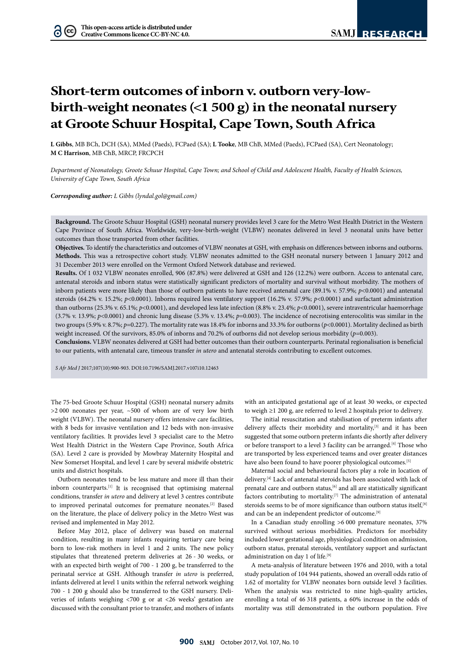$(cc)$ 

# **Short-term outcomes of inborn v. outborn very-lowbirth-weight neonates (<1 500 g) in the neonatal nursery at Groote Schuur Hospital, Cape Town, South Africa**

**L Gibbs**, MB BCh, DCH (SA), MMed (Paeds), FCPaed (SA); **L Tooke**, MB ChB, MMed (Paeds), FCPaed (SA), Cert Neonatology; **M C Harrison**, MB ChB, MRCP, FRCPCH

*Department of Neonatology, Groote Schuur Hospital, Cape Town; and School of Child and Adolescent Health, Faculty of Health Sciences, University of Cape Town, South Africa*

*Corresponding author: L Gibbs (lyndal.gol@gmail.com)*

**Background.** The Groote Schuur Hospital (GSH) neonatal nursery provides level 3 care for the Metro West Health District in the Western Cape Province of South Africa. Worldwide, very-low-birth-weight (VLBW) neonates delivered in level 3 neonatal units have better outcomes than those transported from other facilities.

**Objectives.** To identify the characteristics and outcomes of VLBW neonates at GSH, with emphasis on differences between inborns and outborns. **Methods.** This was a retrospective cohort study. VLBW neonates admitted to the GSH neonatal nursery between 1 January 2012 and 31 December 2013 were enrolled on the Vermont Oxford Network database and reviewed.

**Results.** Of 1 032 VLBW neonates enrolled, 906 (87.8%) were delivered at GSH and 126 (12.2%) were outborn. Access to antenatal care, antenatal steroids and inborn status were statistically significant predictors of mortality and survival without morbidity. The mothers of inborn patients were more likely than those of outborn patients to have received antenatal care (89.1% v. 57.9%; *p*<0.0001) and antenatal steroids (64.2% v. 15.2%; *p*<0.0001). Inborns required less ventilatory support (16.2% v. 57.9%; *p*<0.0001) and surfactant administration than outborns (25.3% v. 65.1%; *p*<0.0001), and developed less late infection (8.8% v. 23.4%; *p*<0.0001), severe intraventricular haemorrhage (3.7% v. 13.9%; *p*<0.0001) and chronic lung disease (5.3% v. 13.4%; *p*=0.003). The incidence of necrotising enterocolitis was similar in the two groups (5.9% v. 8.7%;  $p=0.227$ ). The mortality rate was 18.4% for inborns and 33.3% for outborns ( $p$ <0.0001). Mortality declined as birth weight increased. Of the survivors, 85.0% of inborns and 70.2% of outborns did not develop serious morbidity (p=0.003).

**Conclusions.** VLBW neonates delivered at GSH had better outcomes than their outborn counterparts. Perinatal regionalisation is beneficial to our patients, with antenatal care, timeous transfer *in utero* and antenatal steroids contributing to excellent outcomes.

*S Afr Med J* 2017;107(10):900-903. DOI:10.7196/SAMJ.2017.v107i10.12463

The 75-bed Groote Schuur Hospital (GSH) neonatal nursery admits  $>$ 2000 neonates per year,  $~500$  of whom are of very low birth weight (VLBW). The neonatal nursery offers intensive care facilities, with 8 beds for invasive ventilation and 12 beds with non-invasive ventilatory facilities. It provides level 3 specialist care to the Metro West Health District in the Western Cape Province, South Africa (SA). Level 2 care is provided by Mowbray Maternity Hospital and New Somerset Hospital, and level 1 care by several midwife obstetric units and district hospitals.

Outborn neonates tend to be less mature and more ill than their inborn counterparts.[1] It is recognised that optimising maternal conditions, transfer *in utero* and delivery at level 3 centres contribute to improved perinatal outcomes for premature neonates.[2] Based on the literature, the place of delivery policy in the Metro West was revised and implemented in May 2012.

Before May 2012, place of delivery was based on maternal condition, resulting in many infants requiring tertiary care being born to low-risk mothers in level 1 and 2 units. The new policy stipulates that threatened preterm deliveries at 26 - 30 weeks, or with an expected birth weight of 700 - 1 200 g, be transferred to the perinatal service at GSH. Although transfer *in utero* is preferred, infants delivered at level 1 units within the referral network weighing 700 - 1 200 g should also be transferred to the GSH nursery. Deliveries of infants weighing <700 g or at <26 weeks' gestation are discussed with the consultant prior to transfer, and mothers of infants

with an anticipated gestational age of at least 30 weeks, or expected to weigh ≥1 200 g, are referred to level 2 hospitals prior to delivery.

The initial resuscitation and stabilisation of preterm infants after delivery affects their morbidity and mortality,<sup>[3]</sup> and it has been suggested that some outborn preterm infants die shortly after delivery or before transport to a level 3 facility can be arranged.<sup>[4]</sup> Those who are transported by less experienced teams and over greater distances have also been found to have poorer physiological outcomes.<sup>[5]</sup>

Maternal social and behavioural factors play a role in location of delivery.[4] Lack of antenatal steroids has been associated with lack of prenatal care and outborn status,<sup>[6]</sup> and all are statistically significant factors contributing to mortality.<sup>[7]</sup> The administration of antenatal steroids seems to be of more significance than outborn status itself, [8] and can be an independent predictor of outcome.<sup>[9]</sup>

In a Canadian study enrolling >6 000 premature neonates, 37% survived without serious morbidities. Predictors for morbidity included lower gestational age, physiological condition on admission, outborn status, prenatal steroids, ventilatory support and surfactant administration on day 1 of life.<sup>[9]</sup>

A meta-analysis of literature between 1976 and 2010, with a total study population of 104 944 patients, showed an overall odds ratio of 1.62 of mortality for VLBW neonates born outside level 3 facilities. When the analysis was restricted to nine high-quality articles, enrolling a total of 46 318 patients, a 60% increase in the odds of mortality was still demonstrated in the outborn population. Five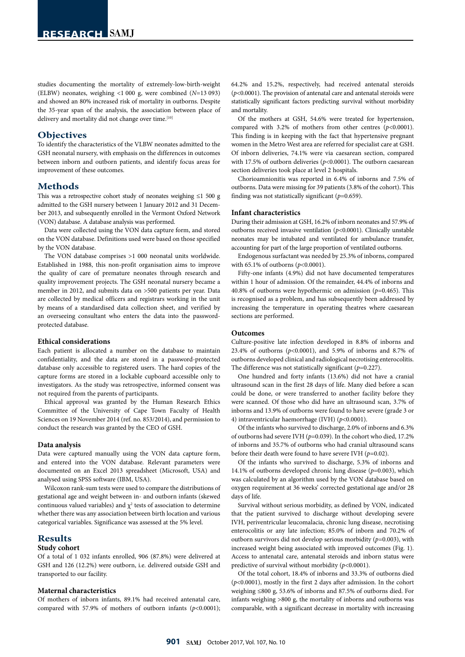studies documenting the mortality of extremely-low-birth-weight (ELBW) neonates, weighing <1 000 g, were combined (*N*=13 093) and showed an 80% increased risk of mortality in outborns. Despite the 35-year span of the analysis, the association between place of delivery and mortality did not change over time.<sup>[10]</sup>

#### **Objectives**

To identify the characteristics of the VLBW neonates admitted to the GSH neonatal nursery, with emphasis on the differences in outcomes between inborn and outborn patients, and identify focus areas for improvement of these outcomes.

## **Methods**

This was a retrospective cohort study of neonates weighing ≤1 500 g admitted to the GSH nursery between 1 January 2012 and 31 December 2013, and subsequently enrolled in the Vermont Oxford Network (VON) database. A database analysis was performed.

Data were collected using the VON data capture form, and stored on the VON database. Definitions used were based on those specified by the VON database.

The VON database comprises >1 000 neonatal units worldwide. Established in 1988, this non-profit organisation aims to improve the quality of care of premature neonates through research and quality improvement projects. The GSH neonatal nursery became a member in 2012, and submits data on >500 patients per year. Data are collected by medical officers and registrars working in the unit by means of a standardised data collection sheet, and verified by an overseeing consultant who enters the data into the passwordprotected database.

#### **Ethical considerations**

Each patient is allocated a number on the database to maintain confidentiality, and the data are stored in a password-protected database only accessible to registered users. The hard copies of the capture forms are stored in a lockable cupboard accessible only to investigators. As the study was retrospective, informed consent was not required from the parents of participants.

Ethical approval was granted by the Human Research Ethics Committee of the University of Cape Town Faculty of Health Sciences on 19 November 2014 (ref. no. 853/2014), and permission to conduct the research was granted by the CEO of GSH.

#### **Data analysis**

Data were captured manually using the VON data capture form, and entered into the VON database. Relevant parameters were documented on an Excel 2013 spreadsheet (Microsoft, USA) and analysed using SPSS software (IBM, USA).

Wilcoxon rank-sum tests were used to compare the distributions of gestational age and weight between in- and outborn infants (skewed continuous valued variables) and  $\chi^2$  tests of association to determine whether there was any association between birth location and various categorical variables. Significance was assessed at the 5% level.

#### **Results**

#### **Study cohort**

Of a total of 1 032 infants enrolled, 906 (87.8%) were delivered at GSH and 126 (12.2%) were outborn, i.e. delivered outside GSH and transported to our facility.

#### **Maternal characteristics**

Of mothers of inborn infants, 89.1% had received antenatal care, compared with 57.9% of mothers of outborn infants (*p*<0.0001); 64.2% and 15.2%, respectively, had received antenatal steroids (*p*<0.0001). The provision of antenatal care and antenatal steroids were statistically significant factors predicting survival without morbidity and mortality.

Of the mothers at GSH, 54.6% were treated for hypertension, compared with 3.2% of mothers from other centres (*p*<0.0001). This finding is in keeping with the fact that hypertensive pregnant women in the Metro West area are referred for specialist care at GSH. Of inborn deliveries, 74.1% were via caesarean section, compared with 17.5% of outborn deliveries (*p*<0.0001). The outborn caesarean section deliveries took place at level 2 hospitals.

Chorioamnionitis was reported in 6.4% of inborns and 7.5% of outborns. Data were missing for 39 patients (3.8% of the cohort). This finding was not statistically significant (*p*=0.659).

#### **Infant characteristics**

During their admission at GSH, 16.2% of inborn neonates and 57.9% of outborns received invasive ventilation (*p*<0.0001). Clinically unstable neonates may be intubated and ventilated for ambulance transfer, accounting for part of the large proportion of ventilated outborns.

Endogenous surfactant was needed by 25.3% of inborns, compared with 65.1% of outborns (*p*<0.0001).

Fifty-one infants (4.9%) did not have documented temperatures within 1 hour of admission. Of the remainder, 44.4% of inborns and 40.8% of outborns were hypothermic on admission (*p*=0.465). This is recognised as a problem, and has subsequently been addressed by increasing the temperature in operating theatres where caesarean sections are performed.

#### **Outcomes**

Culture-positive late infection developed in 8.8% of inborns and 23.4% of outborns (*p*<0.0001), and 5.9% of inborns and 8.7% of outborns developed clinical and radiological necrotising enterocolitis. The difference was not statistically significant (*p*=0.227).

One hundred and forty infants (13.6%) did not have a cranial ultrasound scan in the first 28 days of life. Many died before a scan could be done, or were transferred to another facility before they were scanned. Of those who did have an ultrasound scan, 3.7% of inborns and 13.9% of outborns were found to have severe (grade 3 or 4) intraventricular haemorrhage (IVH) (*p*<0.0001).

Of the infants who survived to discharge, 2.0% of inborns and 6.3% of outborns had severe IVH (*p*=0.039). In the cohort who died, 17.2% of inborns and 35.7% of outborns who had cranial ultrasound scans before their death were found to have severe IVH (*p*=0.02).

Of the infants who survived to discharge, 5.3% of inborns and 14.1% of outborns developed chronic lung disease (*p*=0.003), which was calculated by an algorithm used by the VON database based on oxygen requirement at 36 weeks' corrected gestational age and/or 28 days of life.

Survival without serious morbidity, as defined by VON, indicated that the patient survived to discharge without developing severe IVH, periventricular leucomalacia, chronic lung disease, necrotising enterocolitis or any late infection; 85.0% of inborn and 70.2% of outborn survivors did not develop serious morbidity (*p*=0.003), with increased weight being associated with improved outcomes (Fig. 1). Access to antenatal care, antenatal steroids and inborn status were predictive of survival without morbidity (*p*<0.0001).

Of the total cohort, 18.4% of inborns and 33.3% of outborns died (*p*<0.0001), mostly in the first 2 days after admission. In the cohort weighing ≤800 g, 53.6% of inborns and 87.5% of outborns died. For infants weighing >800 g, the mortality of inborns and outborns was comparable, with a significant decrease in mortality with increasing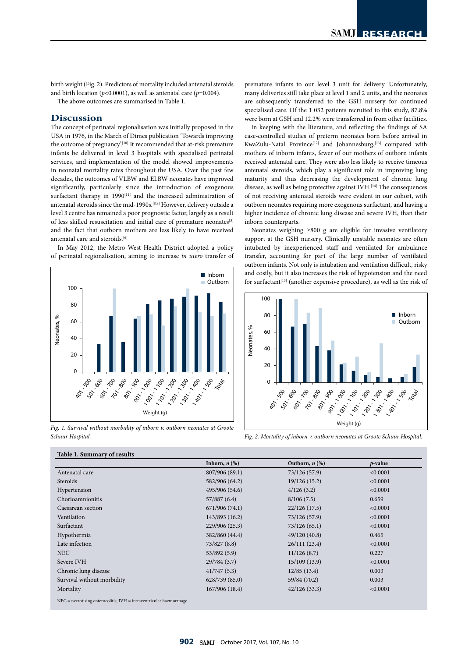birth weight (Fig. 2). Predictors of mortality included antenatal steroids and birth location ( $p$ <0.0001), as well as antenatal care ( $p$ =0.004).

The above outcomes are summarised in Table 1.

### **Discussion**

The concept of perinatal regionalisation was initially proposed in the USA in 1976, in the March of Dimes publication 'Towards improving the outcome of pregnancy.<sup>[10]</sup> It recommended that at-risk premature infants be delivered in level 3 hospitals with specialised perinatal services, and implementation of the model showed improvements in neonatal mortality rates throughout the USA. Over the past few decades, the outcomes of VLBW and ELBW neonates have improved significantly, particularly since the introduction of exogenous surfactant therapy in 1990<sup>[11]</sup> and the increased administration of antenatal steroids since the mid-1990s.<sup>[8,9]</sup> However, delivery outside a level 3 centre has remained a poor prognostic factor, largely as a result of less skilled resuscitation and initial care of premature neonates<sup>[3]</sup> and the fact that outborn mothers are less likely to have received antenatal care and steroids.[6]

In May 2012, the Metro West Health District adopted a policy of perinatal regionalisation, aiming to increase *in utero* transfer of



*Fig. 1. Survival without morbidity of inborn v. outborn neonates at Groote Schuur Hospital.*

premature infants to our level 3 unit for delivery. Unfortunately, many deliveries still take place at level 1 and 2 units, and the neonates are subsequently transferred to the GSH nursery for continued specialised care. Of the 1 032 patients recruited to this study, 87.8% were born at GSH and 12.2% were transferred in from other facilities. 60

In keeping with the literature, and reflecting the findings of SA case-controlled studies of preterm neonates born before arrival in KwaZulu-Natal Province<sup>[12]</sup> and Johannesburg,<sup>[13]</sup> compared with mothers of inborn infants, fewer of our mothers of outborn infants received antenatal care. They were also less likely to receive timeous antenatal steroids, which play a significant role in improving lung maturity and thus decreasing the development of chronic lung<br>disease as well as being protective against IVH [14] The consequences maturity and thus decreasing the development of chronic lung<br>disease, as well as being protective against IVH.<sup>[14]</sup> The consequences<br>of not receiving antenatal steroids were evident in our cohort, with<br>outhorn poppates re of not receiving antenatal steroids were evident in our cohort, with outborn neonates requiring more exogenous surfactant, and having a higher incidence of chronic lung disease and severe IVH, than their inborn counterparts. eo<br>Tei<br>as

Neonates weighing ≥800 g are eligible for invasive ventilatory support at the GSH nursery. Clinically unstable neonates are often intubated by inexperienced staff and ventilated for ambulance transfer, accounting for part of the large number of ventilated outborn infants. Not only is intubation and ventilation difficult, risky and costly, but it also increases the risk of hypotension and the need for surfactant<sup>[15]</sup> (another expensive procedure), as well as the risk of



*Fig. 2. Mortality of inborn v. outborn neonates at Groote Schuur Hospital.*

|                                                                            | Inborn, $n$ $(\%)$ | Outborn, $n$ $(\%)$ | $p$ -value |
|----------------------------------------------------------------------------|--------------------|---------------------|------------|
| Antenatal care                                                             | 807/906 (89.1)     | 73/126 (57.9)       | < 0.0001   |
| Steroids                                                                   | 582/906 (64.2)     | 19/126(15.2)        | < 0.0001   |
| Hypertension                                                               | 495/906 (54.6)     | 4/126(3.2)          | < 0.0001   |
| Chorioamnionitis                                                           | 57/887 (6.4)       | 8/106(7.5)          | 0.659      |
| Caesarean section                                                          | 671/906 (74.1)     | 22/126(17.5)        | < 0.0001   |
| Ventilation                                                                | 143/893 (16.2)     | 73/126 (57.9)       | < 0.0001   |
| Surfactant                                                                 | 229/906 (25.3)     | 73/126(65.1)        | < 0.0001   |
| Hypothermia                                                                | 382/860 (44.4)     | 49/120(40.8)        | 0.465      |
| Late infection                                                             | 73/827 (8.8)       | 26/111(23.4)        | < 0.0001   |
| <b>NEC</b>                                                                 | 53/892 (5.9)       | 11/126(8.7)         | 0.227      |
| Severe IVH                                                                 | 29/784 (3.7)       | 15/109(13.9)        | < 0.0001   |
| Chronic lung disease                                                       | 41/747(5.3)        | 12/85(13.4)         | 0.003      |
| Survival without morbidity                                                 | 628/739 (85.0)     | 59/84 (70.2)        | 0.003      |
| Mortality                                                                  | 167/906 (18.4)     | 42/126(33.3)        | < 0.0001   |
| $NEC = necrotising enterocolitis$ ; $IVH = intraventricular haemorrhage$ . |                    |                     |            |